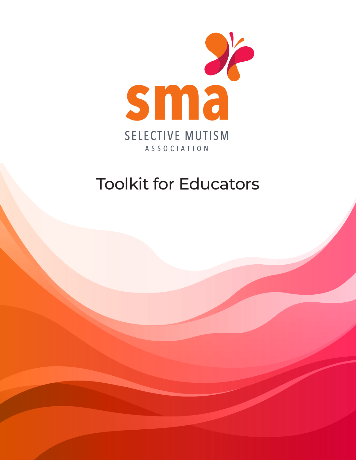

## Toolkit for Educators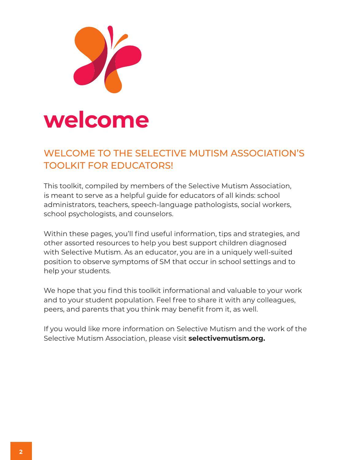

## WELCOME TO THE SELECTIVE MUTISM ASSOCIATION'S TOOLKIT FOR EDUCATORS!

This toolkit, compiled by members of the Selective Mutism Association, is meant to serve as a helpful guide for educators of all kinds: school administrators, teachers, speech-language pathologists, social workers, school psychologists, and counselors.

Within these pages, you'll find useful information, tips and strategies, and other assorted resources to help you best support children diagnosed with Selective Mutism. As an educator, you are in a uniquely well-suited position to observe symptoms of SM that occur in school settings and to help your students.

We hope that you find this toolkit informational and valuable to your work and to your student population. Feel free to share it with any colleagues, peers, and parents that you think may benefit from it, as well.

If you would like more information on Selective Mutism and the work of the Selective Mutism Association, please visit **selectivemutism.org.**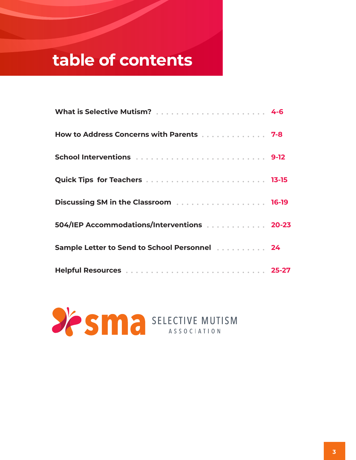## **table of contents**

| How to Address Concerns with Parents 7-8                         |  |
|------------------------------------------------------------------|--|
|                                                                  |  |
|                                                                  |  |
|                                                                  |  |
| 504/IEP Accommodations/Interventions 20-23                       |  |
| Sample Letter to Send to School Personnel [1, 1, 1, 1, 1, 1, 24] |  |
|                                                                  |  |

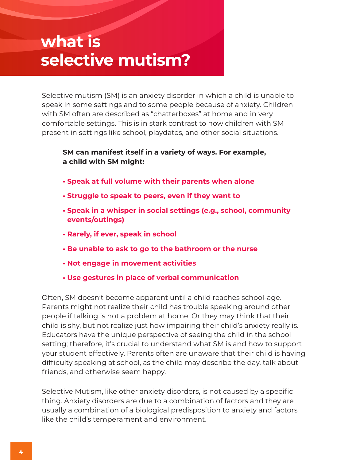## **what is selective mutism?**

Selective mutism (SM) is an anxiety disorder in which a child is unable to speak in some settings and to some people because of anxiety. Children with SM often are described as "chatterboxes" at home and in very comfortable settings. This is in stark contrast to how children with SM present in settings like school, playdates, and other social situations.

#### **SM can manifest itself in a variety of ways. For example, a child with SM might:**

- **Speak at full volume with their parents when alone**
- **Struggle to speak to peers, even if they want to**
- **Speak in a whisper in social settings (e.g., school, community events/outings)**
- **Rarely, if ever, speak in school**
- **Be unable to ask to go to the bathroom or the nurse**
- **Not engage in movement activities**
- **Use gestures in place of verbal communication**

Often, SM doesn't become apparent until a child reaches school-age. Parents might not realize their child has trouble speaking around other people if talking is not a problem at home. Or they may think that their child is shy, but not realize just how impairing their child's anxiety really is. Educators have the unique perspective of seeing the child in the school setting; therefore, it's crucial to understand what SM is and how to support your student effectively. Parents often are unaware that their child is having difficulty speaking at school, as the child may describe the day, talk about friends, and otherwise seem happy.

Selective Mutism, like other anxiety disorders, is not caused by a specific thing. Anxiety disorders are due to a combination of factors and they are usually a combination of a biological predisposition to anxiety and factors like the child's temperament and environment.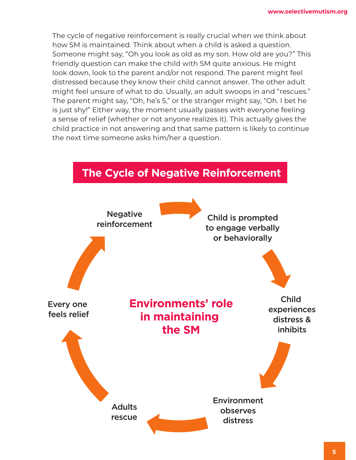The cycle of negative reinforcement is really crucial when we think about how SM is maintained. Think about when a child is asked a question. Someone might say, "Oh you look as old as my son. How old are you?" This friendly question can make the child with SM quite anxious. He might look down, look to the parent and/or not respond. The parent might feel distressed because they know their child cannot answer. The other adult might feel unsure of what to do. Usually, an adult swoops in and "rescues." The parent might say, "Oh, he's 5," or the stranger might say, "Oh. I bet he is just shy!" Either way, the moment usually passes with everyone feeling a sense of relief (whether or not anyone realizes it). This actually gives the child practice in not answering and that same pattern is likely to continue the next time someone asks him/her a question.

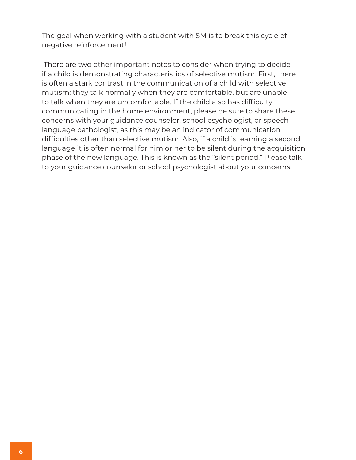The goal when working with a student with SM is to break this cycle of negative reinforcement!

 There are two other important notes to consider when trying to decide if a child is demonstrating characteristics of selective mutism. First, there is often a stark contrast in the communication of a child with selective mutism: they talk normally when they are comfortable, but are unable to talk when they are uncomfortable. If the child also has difficulty communicating in the home environment, please be sure to share these concerns with your guidance counselor, school psychologist, or speech language pathologist, as this may be an indicator of communication difficulties other than selective mutism. Also, if a child is learning a second language it is often normal for him or her to be silent during the acquisition phase of the new language. This is known as the "silent period." Please talk to your guidance counselor or school psychologist about your concerns.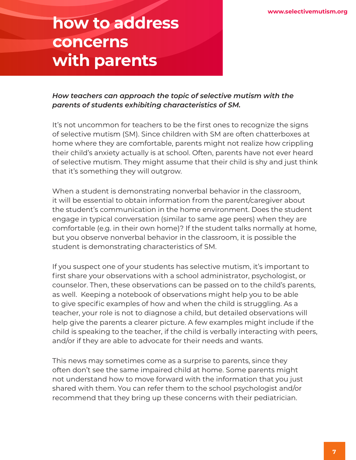## **how to address concerns with parents**

*How teachers can approach the topic of selective mutism with the parents of students exhibiting characteristics of SM.* 

It's not uncommon for teachers to be the first ones to recognize the signs of selective mutism (SM). Since children with SM are often chatterboxes at home where they are comfortable, parents might not realize how crippling their child's anxiety actually is at school. Often, parents have not ever heard of selective mutism. They might assume that their child is shy and just think that it's something they will outgrow.

When a student is demonstrating nonverbal behavior in the classroom, it will be essential to obtain information from the parent/caregiver about the student's communication in the home environment. Does the student engage in typical conversation (similar to same age peers) when they are comfortable (e.g. in their own home)? If the student talks normally at home, but you observe nonverbal behavior in the classroom, it is possible the student is demonstrating characteristics of SM.

If you suspect one of your students has selective mutism, it's important to first share your observations with a school administrator, psychologist, or counselor. Then, these observations can be passed on to the child's parents, as well. Keeping a notebook of observations might help you to be able to give specific examples of how and when the child is struggling. As a teacher, your role is not to diagnose a child, but detailed observations will help give the parents a clearer picture. A few examples might include if the child is speaking to the teacher, if the child is verbally interacting with peers, and/or if they are able to advocate for their needs and wants.

This news may sometimes come as a surprise to parents, since they often don't see the same impaired child at home. Some parents might not understand how to move forward with the information that you just shared with them. You can refer them to the school psychologist and/or recommend that they bring up these concerns with their pediatrician.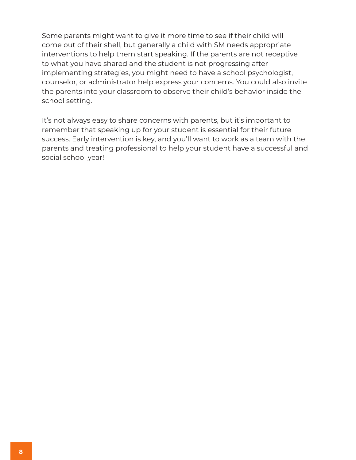Some parents might want to give it more time to see if their child will come out of their shell, but generally a child with SM needs appropriate interventions to help them start speaking. If the parents are not receptive to what you have shared and the student is not progressing after implementing strategies, you might need to have a school psychologist, counselor, or administrator help express your concerns. You could also invite the parents into your classroom to observe their child's behavior inside the school setting.

It's not always easy to share concerns with parents, but it's important to remember that speaking up for your student is essential for their future success. Early intervention is key, and you'll want to work as a team with the parents and treating professional to help your student have a successful and social school year!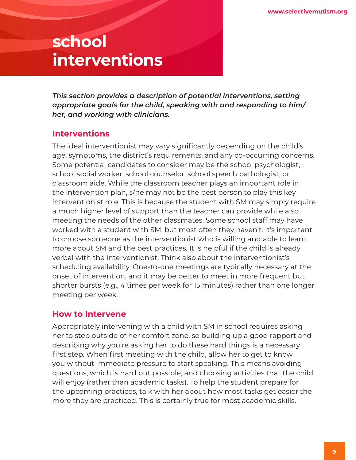## **school interventions**

*This section provides a description of potential interventions, setting appropriate goals for the child, speaking with and responding to him/ her, and working with clinicians.* 

## **Interventions**

The ideal interventionist may vary significantly depending on the child's age, symptoms, the district's requirements, and any co-occurring concerns. Some potential candidates to consider may be the school psychologist, school social worker, school counselor, school speech pathologist, or classroom aide. While the classroom teacher plays an important role in the intervention plan, s/he may not be the best person to play this key interventionist role. This is because the student with SM may simply require a much higher level of support than the teacher can provide while also meeting the needs of the other classmates. Some school staff may have worked with a student with SM, but most often they haven't. It's important to choose someone as the interventionist who is willing and able to learn more about SM and the best practices. It is helpful if the child is already verbal with the interventionist. Think also about the interventionist's scheduling availability. One-to-one meetings are typically necessary at the onset of intervention, and it may be better to meet in more frequent but shorter bursts (e.g., 4 times per week for 15 minutes) rather than one longer meeting per week.

## **How to Intervene**

Appropriately intervening with a child with SM in school requires asking her to step outside of her comfort zone, so building up a good rapport and describing why you're asking her to do these hard things is a necessary first step. When first meeting with the child, allow her to get to know you without immediate pressure to start speaking. This means avoiding questions, which is hard but possible, and choosing activities that the child will enjoy (rather than academic tasks). To help the student prepare for the upcoming practices, talk with her about how most tasks get easier the more they are practiced. This is certainly true for most academic skills.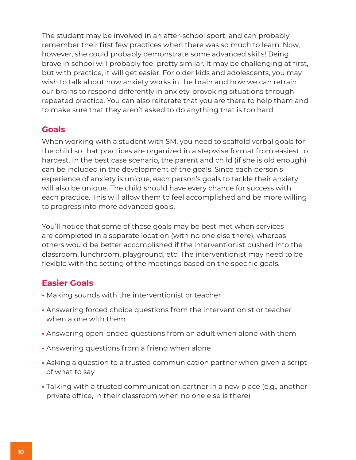The student may be involved in an after-school sport, and can probably remember their first few practices when there was so much to learn. Now, however, she could probably demonstrate some advanced skills! Being brave in school will probably feel pretty similar. It may be challenging at first, but with practice, it will get easier. For older kids and adolescents, you may wish to talk about how anxiety works in the brain and how we can retrain our brains to respond differently in anxiety-provoking situations through repeated practice. You can also reiterate that you are there to help them and to make sure that they aren't asked to do anything that is too hard.

### **Goals**

When working with a student with SM, you need to scaffold verbal goals for the child so that practices are organized in a stepwise format from easiest to hardest. In the best case scenario, the parent and child (if she is old enough) can be included in the development of the goals. Since each person's experience of anxiety is unique, each person's goals to tackle their anxiety will also be unique. The child should have every chance for success with each practice. This will allow them to feel accomplished and be more willing to progress into more advanced goals.

You'll notice that some of these goals may be best met when services are completed in a separate location (with no one else there), whereas others would be better accomplished if the interventionist pushed into the classroom, lunchroom, playground, etc. The interventionist may need to be flexible with the setting of the meetings based on the specific goals.

## **Easier Goals**

- Making sounds with the interventionist or teacher
- Answering forced choice questions from the interventionist or teacher when alone with them
- Answering open-ended questions from an adult when alone with them
- Answering questions from a friend when alone
- Asking a question to a trusted communication partner when given a script of what to say
- Talking with a trusted communication partner in a new place (e.g., another private office, in their classroom when no one else is there)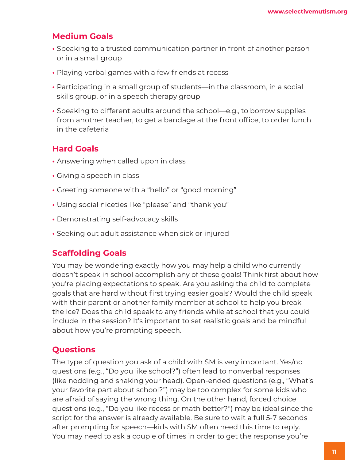## **Medium Goals**

- Speaking to a trusted communication partner in front of another person or in a small group
- Playing verbal games with a few friends at recess
- Participating in a small group of students—in the classroom, in a social skills group, or in a speech therapy group
- Speaking to different adults around the school—e.g., to borrow supplies from another teacher, to get a bandage at the front office, to order lunch in the cafeteria

## **Hard Goals**

- Answering when called upon in class
- Giving a speech in class
- Greeting someone with a "hello" or "good morning"
- Using social niceties like "please" and "thank you"
- Demonstrating self-advocacy skills
- Seeking out adult assistance when sick or injured

#### **Scaffolding Goals**

You may be wondering exactly how you may help a child who currently doesn't speak in school accomplish any of these goals! Think first about how you're placing expectations to speak. Are you asking the child to complete goals that are hard without first trying easier goals? Would the child speak with their parent or another family member at school to help you break the ice? Does the child speak to any friends while at school that you could include in the session? It's important to set realistic goals and be mindful about how you're prompting speech.

## **Questions**

The type of question you ask of a child with SM is very important. Yes/no questions (e.g., "Do you like school?") often lead to nonverbal responses (like nodding and shaking your head). Open-ended questions (e.g., "What's your favorite part about school?") may be too complex for some kids who are afraid of saying the wrong thing. On the other hand, forced choice questions (e.g., "Do you like recess or math better?") may be ideal since the script for the answer is already available. Be sure to wait a full 5-7 seconds after prompting for speech—kids with SM often need this time to reply. You may need to ask a couple of times in order to get the response you're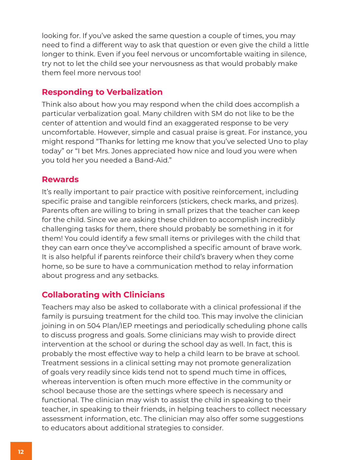looking for. If you've asked the same question a couple of times, you may need to find a different way to ask that question or even give the child a little longer to think. Even if you feel nervous or uncomfortable waiting in silence, try not to let the child see your nervousness as that would probably make them feel more nervous too!

## **Responding to Verbalization**

Think also about how you may respond when the child does accomplish a particular verbalization goal. Many children with SM do not like to be the center of attention and would find an exaggerated response to be very uncomfortable. However, simple and casual praise is great. For instance, you might respond "Thanks for letting me know that you've selected Uno to play today" or "I bet Mrs. Jones appreciated how nice and loud you were when you told her you needed a Band-Aid."

### **Rewards**

It's really important to pair practice with positive reinforcement, including specific praise and tangible reinforcers (stickers, check marks, and prizes). Parents often are willing to bring in small prizes that the teacher can keep for the child. Since we are asking these children to accomplish incredibly challenging tasks for them, there should probably be something in it for them! You could identify a few small items or privileges with the child that they can earn once they've accomplished a specific amount of brave work. It is also helpful if parents reinforce their child's bravery when they come home, so be sure to have a communication method to relay information about progress and any setbacks.

## **Collaborating with Clinicians**

Teachers may also be asked to collaborate with a clinical professional if the family is pursuing treatment for the child too. This may involve the clinician joining in on 504 Plan/IEP meetings and periodically scheduling phone calls to discuss progress and goals. Some clinicians may wish to provide direct intervention at the school or during the school day as well. In fact, this is probably the most effective way to help a child learn to be brave at school. Treatment sessions in a clinical setting may not promote generalization of goals very readily since kids tend not to spend much time in offices, whereas intervention is often much more effective in the community or school because those are the settings where speech is necessary and functional. The clinician may wish to assist the child in speaking to their teacher, in speaking to their friends, in helping teachers to collect necessary assessment information, etc. The clinician may also offer some suggestions to educators about additional strategies to consider.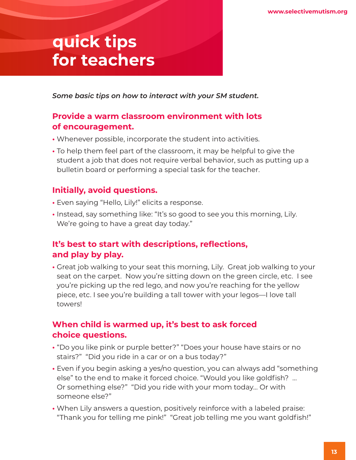## **quick tips for teachers**

*Some basic tips on how to interact with your SM student.*

## **Provide a warm classroom environment with lots of encouragement.**

- Whenever possible, incorporate the student into activities.
- To help them feel part of the classroom, it may be helpful to give the student a job that does not require verbal behavior, such as putting up a bulletin board or performing a special task for the teacher.

## **Initially, avoid questions.**

- Even saying "Hello, Lily!" elicits a response.
- Instead, say something like: "It's so good to see you this morning, Lily. We're going to have a great day today."

## **It's best to start with descriptions, reflections, and play by play.**

**•** Great job walking to your seat this morning, Lily. Great job walking to your seat on the carpet. Now you're sitting down on the green circle, etc. I see you're picking up the red lego, and now you're reaching for the yellow piece, etc. I see you're building a tall tower with your legos—I love tall towers!

## **When child is warmed up, it's best to ask forced choice questions.**

- "Do you like pink or purple better?" "Does your house have stairs or no stairs?" "Did you ride in a car or on a bus today?"
- Even if you begin asking a yes/no question, you can always add "something else" to the end to make it forced choice. "Would you like goldfish? … Or something else?" "Did you ride with your mom today… Or with someone else?"
- When Lily answers a question, positively reinforce with a labeled praise: "Thank you for telling me pink!" "Great job telling me you want goldfish!"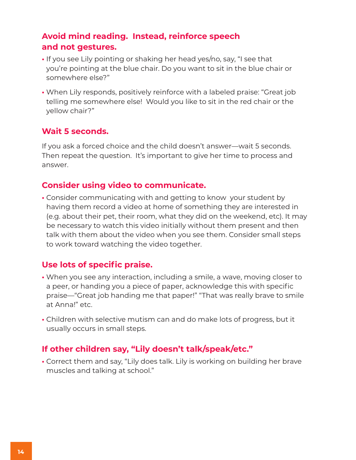## **Avoid mind reading. Instead, reinforce speech and not gestures.**

- If you see Lily pointing or shaking her head yes/no, say, "I see that you're pointing at the blue chair. Do you want to sit in the blue chair or somewhere else?"
- When Lily responds, positively reinforce with a labeled praise: "Great job telling me somewhere else! Would you like to sit in the red chair or the yellow chair?"

### **Wait 5 seconds.**

If you ask a forced choice and the child doesn't answer—wait 5 seconds. Then repeat the question. It's important to give her time to process and answer.

### **Consider using video to communicate.**

**•** Consider communicating with and getting to know your student by having them record a video at home of something they are interested in (e.g. about their pet, their room, what they did on the weekend, etc). It may be necessary to watch this video initially without them present and then talk with them about the video when you see them. Consider small steps to work toward watching the video together.

## **Use lots of specific praise.**

- When you see any interaction, including a smile, a wave, moving closer to a peer, or handing you a piece of paper, acknowledge this with specific praise—"Great job handing me that paper!" "That was really brave to smile at Anna!" etc.
- Children with selective mutism can and do make lots of progress, but it usually occurs in small steps.

## **If other children say, "Lily doesn't talk/speak/etc."**

**•** Correct them and say, "Lily does talk. Lily is working on building her brave muscles and talking at school."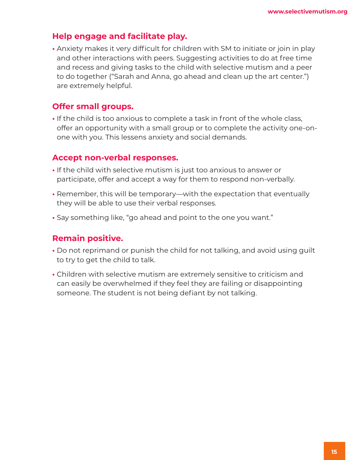## **Help engage and facilitate play.**

**•** Anxiety makes it very difficult for children with SM to initiate or join in play and other interactions with peers. Suggesting activities to do at free time and recess and giving tasks to the child with selective mutism and a peer to do together ("Sarah and Anna, go ahead and clean up the art center.") are extremely helpful.

## **Offer small groups.**

**•** If the child is too anxious to complete a task in front of the whole class, offer an opportunity with a small group or to complete the activity one-onone with you. This lessens anxiety and social demands.

#### **Accept non-verbal responses.**

- If the child with selective mutism is just too anxious to answer or participate, offer and accept a way for them to respond non-verbally.
- Remember, this will be temporary—with the expectation that eventually they will be able to use their verbal responses.
- Say something like, "go ahead and point to the one you want."

#### **Remain positive.**

- Do not reprimand or punish the child for not talking, and avoid using guilt to try to get the child to talk.
- Children with selective mutism are extremely sensitive to criticism and can easily be overwhelmed if they feel they are failing or disappointing someone. The student is not being defiant by not talking.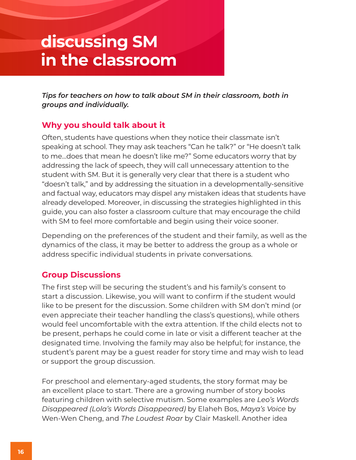## **discussing SM in the classroom**

*Tips for teachers on how to talk about SM in their classroom, both in groups and individually.*

## **Why you should talk about it**

Often, students have questions when they notice their classmate isn't speaking at school. They may ask teachers "Can he talk?" or "He doesn't talk to me…does that mean he doesn't like me?" Some educators worry that by addressing the lack of speech, they will call unnecessary attention to the student with SM. But it is generally very clear that there is a student who "doesn't talk," and by addressing the situation in a developmentally-sensitive and factual way, educators may dispel any mistaken ideas that students have already developed. Moreover, in discussing the strategies highlighted in this guide, you can also foster a classroom culture that may encourage the child with SM to feel more comfortable and begin using their voice sooner.

Depending on the preferences of the student and their family, as well as the dynamics of the class, it may be better to address the group as a whole or address specific individual students in private conversations.

## **Group Discussions**

The first step will be securing the student's and his family's consent to start a discussion. Likewise, you will want to confirm if the student would like to be present for the discussion. Some children with SM don't mind (or even appreciate their teacher handling the class's questions), while others would feel uncomfortable with the extra attention. If the child elects not to be present, perhaps he could come in late or visit a different teacher at the designated time. Involving the family may also be helpful; for instance, the student's parent may be a guest reader for story time and may wish to lead or support the group discussion.

For preschool and elementary-aged students, the story format may be an excellent place to start. There are a growing number of story books featuring children with selective mutism. Some examples are *Leo's Words Disappeared (Lola's Words Disappeared)* by Elaheh Bos, *Maya's Voice* by Wen-Wen Cheng, and *The Loudest Roar* by Clair Maskell. Another idea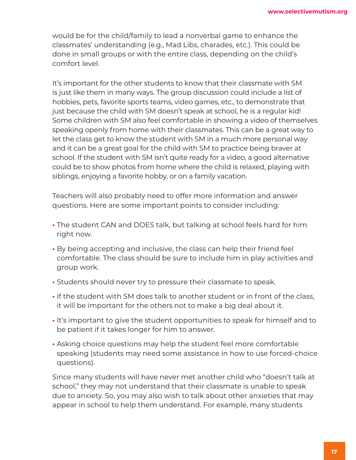would be for the child/family to lead a nonverbal game to enhance the classmates' understanding (e.g., Mad Libs, charades, etc.). This could be done in small groups or with the entire class, depending on the child's comfort level.

It's important for the other students to know that their classmate with SM is just like them in many ways. The group discussion could include a list of hobbies, pets, favorite sports teams, video games, etc., to demonstrate that just because the child with SM doesn't speak at school, he is a regular kid! Some children with SM also feel comfortable in showing a video of themselves speaking openly from home with their classmates. This can be a great way to let the class get to know the student with SM in a much more personal way and it can be a great goal for the child with SM to practice being braver at school. If the student with SM isn't quite ready for a video, a good alternative could be to show photos from home where the child is relaxed, playing with siblings, enjoying a favorite hobby, or on a family vacation.

Teachers will also probably need to offer more information and answer questions. Here are some important points to consider including:

- The student CAN and DOES talk, but talking at school feels hard for him right now.
- By being accepting and inclusive, the class can help their friend feel comfortable. The class should be sure to include him in play activities and group work.
- Students should never try to pressure their classmate to speak.
- If the student with SM does talk to another student or in front of the class, it will be important for the others not to make a big deal about it.
- It's important to give the student opportunities to speak for himself and to be patient if it takes longer for him to answer.
- Asking choice questions may help the student feel more comfortable speaking (students may need some assistance in how to use forced-choice questions).

Since many students will have never met another child who "doesn't talk at school," they may not understand that their classmate is unable to speak due to anxiety. So, you may also wish to talk about other anxieties that may appear in school to help them understand. For example, many students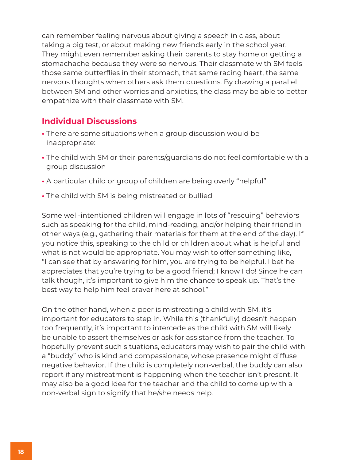can remember feeling nervous about giving a speech in class, about taking a big test, or about making new friends early in the school year. They might even remember asking their parents to stay home or getting a stomachache because they were so nervous. Their classmate with SM feels those same butterflies in their stomach, that same racing heart, the same nervous thoughts when others ask them questions. By drawing a parallel between SM and other worries and anxieties, the class may be able to better empathize with their classmate with SM.

## **Individual Discussions**

- There are some situations when a group discussion would be inappropriate:
- The child with SM or their parents/guardians do not feel comfortable with a group discussion
- A particular child or group of children are being overly "helpful"
- The child with SM is being mistreated or bullied

Some well-intentioned children will engage in lots of "rescuing" behaviors such as speaking for the child, mind-reading, and/or helping their friend in other ways (e.g., gathering their materials for them at the end of the day). If you notice this, speaking to the child or children about what is helpful and what is not would be appropriate. You may wish to offer something like, "I can see that by answering for him, you are trying to be helpful. I bet he appreciates that you're trying to be a good friend; I know I do! Since he can talk though, it's important to give him the chance to speak up. That's the best way to help him feel braver here at school."

On the other hand, when a peer is mistreating a child with SM, it's important for educators to step in. While this (thankfully) doesn't happen too frequently, it's important to intercede as the child with SM will likely be unable to assert themselves or ask for assistance from the teacher. To hopefully prevent such situations, educators may wish to pair the child with a "buddy" who is kind and compassionate, whose presence might diffuse negative behavior. If the child is completely non-verbal, the buddy can also report if any mistreatment is happening when the teacher isn't present. It may also be a good idea for the teacher and the child to come up with a non-verbal sign to signify that he/she needs help.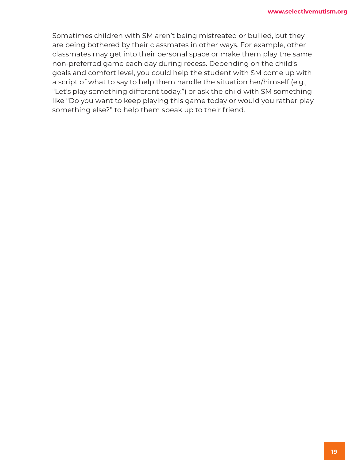Sometimes children with SM aren't being mistreated or bullied, but they are being bothered by their classmates in other ways. For example, other classmates may get into their personal space or make them play the same non-preferred game each day during recess. Depending on the child's goals and comfort level, you could help the student with SM come up with a script of what to say to help them handle the situation her/himself (e.g., "Let's play something different today.") or ask the child with SM something like "Do you want to keep playing this game today or would you rather play something else?" to help them speak up to their friend.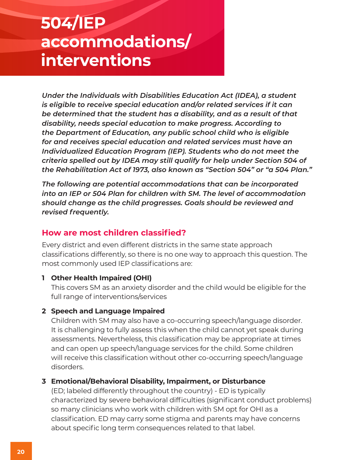## **504/IEP accommodations/ interventions**

*Under the Individuals with Disabilities Education Act (IDEA), a student is eligible to receive special education and/or related services if it can be determined that the student has a disability, and as a result of that disability, needs special education to make progress. According to the Department of Education, any public school child who is eligible for and receives special education and related services must have an Individualized Education Program (IEP). Students who do not meet the criteria spelled out by IDEA may still qualify for help under Section 504 of the Rehabilitation Act of 1973, also known as "Section 504" or "a 504 Plan."*

*The following are potential accommodations that can be incorporated into an IEP or 504 Plan for children with SM. The level of accommodation should change as the child progresses. Goals should be reviewed and revised frequently.* 

## **How are most children classified?**

Every district and even different districts in the same state approach classifications differently, so there is no one way to approach this question. The most commonly used IEP classifications are:

#### **1 Other Health Impaired (OHI)**

This covers SM as an anxiety disorder and the child would be eligible for the full range of interventions/services

#### **2 Speech and Language Impaired**

Children with SM may also have a co-occurring speech/language disorder. It is challenging to fully assess this when the child cannot yet speak during assessments. Nevertheless, this classification may be appropriate at times and can open up speech/language services for the child. Some children will receive this classification without other co-occurring speech/language disorders.

#### **3 Emotional/Behavioral Disability, Impairment, or Disturbance**

(ED; labeled differently throughout the country) - ED is typically characterized by severe behavioral difficulties (significant conduct problems) so many clinicians who work with children with SM opt for OHI as a classification. ED may carry some stigma and parents may have concerns about specific long term consequences related to that label.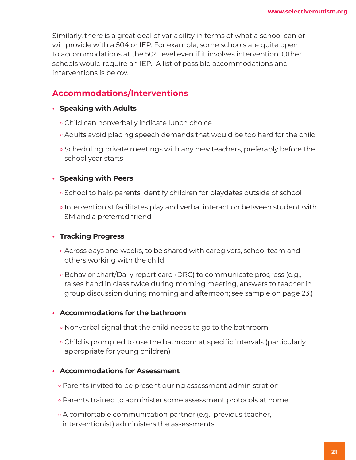Similarly, there is a great deal of variability in terms of what a school can or will provide with a 504 or IEP. For example, some schools are quite open to accommodations at the 504 level even if it involves intervention. Other schools would require an IEP. A list of possible accommodations and interventions is below.

## **Accommodations/Interventions**

- **• Speaking with Adults**
	- ° Child can nonverbally indicate lunch choice
	- ° Adults avoid placing speech demands that would be too hard for the child
	- ° Scheduling private meetings with any new teachers, preferably before the school year starts

#### **• Speaking with Peers**

- ° School to help parents identify children for playdates outside of school
- ° Interventionist facilitates play and verbal interaction between student with SM and a preferred friend

#### **• Tracking Progress**

- ° Across days and weeks, to be shared with caregivers, school team and others working with the child
- ° Behavior chart/Daily report card (DRC) to communicate progress (e.g., raises hand in class twice during morning meeting, answers to teacher in group discussion during morning and afternoon; see sample on page 23.)

#### **• Accommodations for the bathroom**

- ° Nonverbal signal that the child needs to go to the bathroom
- ° Child is prompted to use the bathroom at specific intervals (particularly appropriate for young children)

#### **• Accommodations for Assessment**

- ° Parents invited to be present during assessment administration
- ° Parents trained to administer some assessment protocols at home
- ° A comfortable communication partner (e.g., previous teacher, interventionist) administers the assessments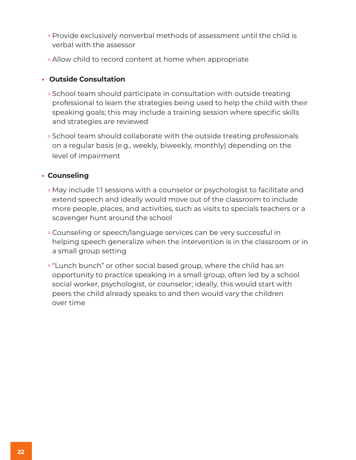- ° Provide exclusively nonverbal methods of assessment until the child is verbal with the assessor
- ° Allow child to record content at home when appropriate

#### **• Outside Consultation**

- ° School team should participate in consultation with outside treating professional to learn the strategies being used to help the child with their speaking goals; this may include a training session where specific skills and strategies are reviewed
- ° School team should collaborate with the outside treating professionals on a regular basis (e.g., weekly, biweekly, monthly) depending on the level of impairment

#### **• Counseling**

- ° May include 1:1 sessions with a counselor or psychologist to facilitate and extend speech and ideally would move out of the classroom to include more people, places, and activities, such as visits to specials teachers or a scavenger hunt around the school
- ° Counseling or speech/language services can be very successful in helping speech generalize when the intervention is in the classroom or in a small group setting
- ° "Lunch bunch" or other social based group, where the child has an opportunity to practice speaking in a small group, often led by a school social worker, psychologist, or counselor; ideally, this would start with peers the child already speaks to and then would vary the children over time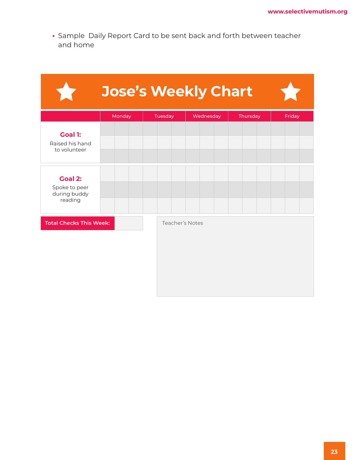**•** Sample Daily Report Card to be sent back and forth between teacher and home

| $\overline{a}$                                             | <b>Jose's Weekly Chart</b> |         |                 |          |        |
|------------------------------------------------------------|----------------------------|---------|-----------------|----------|--------|
|                                                            | Monday                     | Tuesday | Wednesday       | Thursday | Friday |
| <b>Goal 1:</b><br>Raised his hand<br>to volunteer          |                            |         |                 |          |        |
| <b>Goal 2:</b><br>Spoke to peer<br>during buddy<br>reading |                            |         |                 |          |        |
| <b>Total Checks This Week:</b>                             |                            |         | Teacher's Notes |          |        |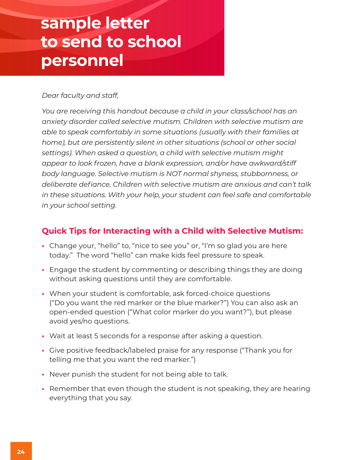## **sample letter to send to school personnel**

#### *Dear faculty and staff,*

*You are receiving this handout because a child in your class/school has an anxiety disorder called selective mutism. Children with selective mutism are able to speak comfortably in some situations (usually with their families at home), but are persistently silent in other situations (school or other social settings). When asked a question, a child with selective mutism might appear to look frozen, have a blank expression, and/or have awkward/stiff body language. Selective mutism is NOT normal shyness, stubbornness, or deliberate defiance. Children with selective mutism are anxious and can't talk in these situations. With your help, your student can feel safe and comfortable in your school setting.*

## **Quick Tips for Interacting with a Child with Selective Mutism:**

- Change your, "hello" to, "nice to see you" or, "I'm so glad you are here today." The word "hello" can make kids feel pressure to speak.
- Engage the student by commenting or describing things they are doing without asking questions until they are comfortable.
- When your student is comfortable, ask forced-choice questions ("Do you want the red marker or the blue marker?") You can also ask an open-ended question ("What color marker do you want?"), but please avoid yes/no questions.
- Wait at least 5 seconds for a response after asking a question.
- Give positive feedback/labeled praise for any response ("Thank you for telling me that you want the red marker.")
- Never punish the student for not being able to talk.
- Remember that even though the student is not speaking, they are hearing everything that you say.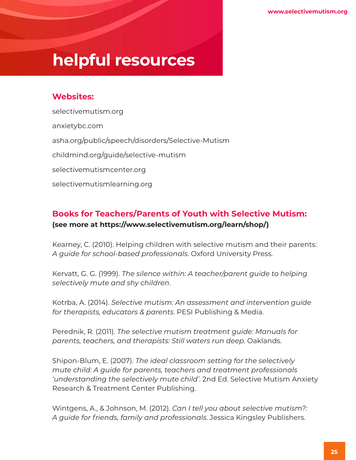# **helpful resources**

## **Websites:**

selectivemutism.org anxietybc.com asha.org/public/speech/disorders/Selective-Mutism childmind.org/guide/selective-mutism selectivemutismcenter.org selectivemutismlearning.org

## **Books for Teachers/Parents of Youth with Selective Mutism: (see more at https://www.selectivemutism.org/learn/shop/)**

Kearney, C. (2010). Helping children with selective mutism and their parents: *A guide for school-based professionals*. Oxford University Press.

Kervatt, G. G. (1999). *The silence within: A teacher/parent guide to helping selectively mute and shy children*.

Kotrba, A. (2014). *Selective mutism: An assessment and intervention guide for therapists, educators & parents*. PESI Publishing & Media.

Perednik, R. (2011). *The selective mutism treatment guide: Manuals for parents, teachers, and therapists: Still waters run deep*. Oaklands.

Shipon-Blum, E. (2007). *The ideal classroom setting for the selectively mute child: A guide for parents, teachers and treatment professionals 'understanding the selectively mute child'*. 2nd Ed. Selective Mutism Anxiety Research & Treatment Center Publishing.

Wintgens, A., & Johnson, M. (2012). *Can I tell you about selective mutism?: A guide for friends, family and professionals*. Jessica Kingsley Publishers.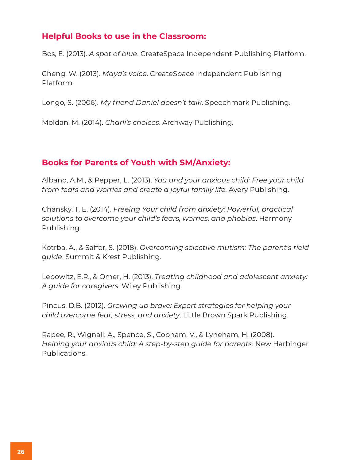### **Helpful Books to use in the Classroom:**

Bos, E. (2013). *A spot of blue*. CreateSpace Independent Publishing Platform.

Cheng, W. (2013). *Maya's voice*. CreateSpace Independent Publishing Platform.

Longo, S. (2006). *My friend Daniel doesn't talk*. Speechmark Publishing.

Moldan, M. (2014). *Charli's choices*. Archway Publishing.

### **Books for Parents of Youth with SM/Anxiety:**

Albano, A.M., & Pepper, L. (2013). *You and your anxious child: Free your child from fears and worries and create a joyful family life*. Avery Publishing.

Chansky, T. E. (2014). *Freeing Your child from anxiety: Powerful, practical solutions to overcome your child's fears, worries, and phobias*. Harmony Publishing.

Kotrba, A., & Saffer, S. (2018). *Overcoming selective mutism: The parent's field guide*. Summit & Krest Publishing.

Lebowitz, E.R., & Omer, H. (2013). *Treating childhood and adolescent anxiety: A guide for caregivers*. Wiley Publishing.

Pincus, D.B. (2012). *Growing up brave: Expert strategies for helping your child overcome fear, stress, and anxiety*. Little Brown Spark Publishing.

Rapee, R., Wignall, A., Spence, S., Cobham, V., & Lyneham, H. (2008). *Helping your anxious child: A step-by-step guide for parents*. New Harbinger Publications.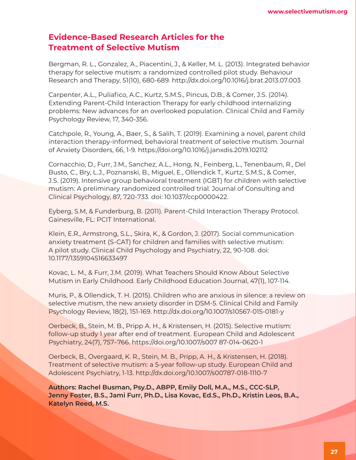### **Evidence-Based Research Articles for the Treatment of Selective Mutism**

Bergman, R. L., Gonzalez, A., Piacentini, J., & Keller, M. L. (2013). Integrated behavior therapy for selective mutism: a randomized controlled pilot study. Behaviour Research and Therapy, 51(10), 680-689. http://dx.doi.org/10.1016/j.brat.2013.07.003

Carpenter, A.L., Puliafico, A.C., Kurtz, S.M.S., Pincus, D.B., & Comer, J.S. (2014). Extending Parent-Child Interaction Therapy for early childhood internalizing problems: New advances for an overlooked population. Clinical Child and Family Psychology Review, 17, 340-356.

Catchpole, R., Young, A., Baer, S., & Salih, T. (2019). Examining a novel, parent child interaction therapy-informed, behavioral treatment of selective mutism. Journal of Anxiety Disorders, 66, 1-9. https://doi.org/10.1016/j.janxdis.2019.102112

Cornacchio, D., Furr, J.M., Sanchez, A.L., Hong, N., Feinberg, L., Tenenbaum, R., Del Busto, C., Bry, L.J., Poznanski, B., Miguel, E., Ollendick T., Kurtz, S.M.S., & Comer, J.S. (2019). Intensive group behavioral treatment (IGBT) for children with selective mutism: A preliminary randomized controlled trial. Journal of Consulting and Clinical Psychology, 87, 720-733. doi: 10.1037/ccp0000422.

Eyberg, S.M, & Funderburg, B. (2011). Parent-Child Interaction Therapy Protocol. Gainesville, FL: PCIT International.

Klein, E.R., Armstrong, S.L., Skira, K., & Gordon, J. (2017). Social communication anxiety treatment (S-CAT) for children and families with selective mutism: A pilot study. Clinical Child Psychology and Psychiatry, 22, 90-108. doi: 10.1177/1359104516633497

Kovac, L. M., & Furr, J.M. (2019). What Teachers Should Know About Selective Mutism in Early Childhood. Early Childhood Education Journal, 47(1), 107-114.

Muris, P., & Ollendick, T. H. (2015). Children who are anxious in silence: a review on selective mutism, the new anxiety disorder in DSM-5. Clinical Child and Family Psychology Review, 18(2), 151-169. http://dx.doi.org/10.1007/s10567-015-0181-y

Oerbeck, B., Stein, M. B., Pripp A. H., & Kristensen, H. (2015). Selective mutism: follow-up study I year after end of treatment. European Child and Adolescent Psychiatry, 24(7), 757–766. https://doi.org/10.1007/s007 87-014-0620-1

Oerbeck, B., Overgaard, K. R., Stein, M. B., Pripp, A. H., & Kristensen, H. (2018). Treatment of selective mutism: a 5-year follow-up study. European Child and Adolescent Psychiatry, 1-13. http://dx.doi.org/10.1007/s00787-018-1110-7

**Authors: Rachel Busman, Psy.D., ABPP, Emily Doll, M.A., M.S., CCC-SLP, Jenny Foster, B.S., Jami Furr, Ph.D., Lisa Kovac, Ed.S., Ph.D., Kristin Leos, B.A., Katelyn Reed, M.S.**